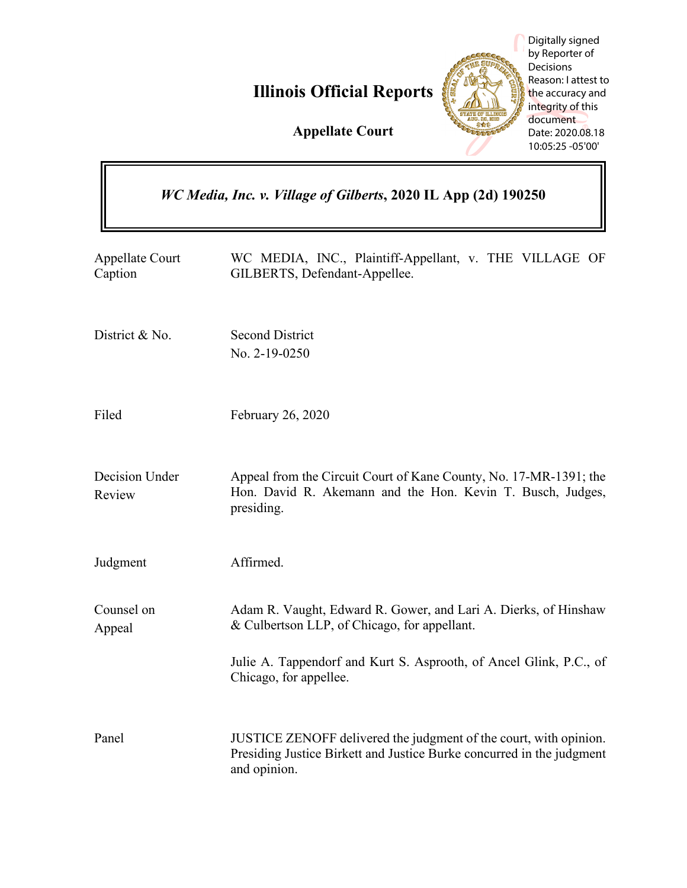

|                                                                | Digitally signed<br>by Reporter of<br>Decisions<br>Reason: I attest to<br><b>Illinois Official Reports</b><br>the accuracy and<br>integrity of this<br>document<br><b>Appellate Court</b><br>Date: 2020.08.18<br>10:05:25 - 05'00' |
|----------------------------------------------------------------|------------------------------------------------------------------------------------------------------------------------------------------------------------------------------------------------------------------------------------|
| WC Media, Inc. v. Village of Gilberts, 2020 IL App (2d) 190250 |                                                                                                                                                                                                                                    |
| Appellate Court<br>Caption                                     | WC MEDIA, INC., Plaintiff-Appellant, v. THE VILLAGE OF<br>GILBERTS, Defendant-Appellee.                                                                                                                                            |
| District & No.                                                 | <b>Second District</b><br>No. 2-19-0250                                                                                                                                                                                            |
| Filed                                                          | February 26, 2020                                                                                                                                                                                                                  |
| Decision Under<br>Review                                       | Appeal from the Circuit Court of Kane County, No. 17-MR-1391; the<br>Hon. David R. Akemann and the Hon. Kevin T. Busch, Judges,<br>presiding.                                                                                      |
| Judgment                                                       | Affirmed.                                                                                                                                                                                                                          |
| Counsel on<br>Appeal                                           | Adam R. Vaught, Edward R. Gower, and Lari A. Dierks, of Hinshaw<br>& Culbertson LLP, of Chicago, for appellant.                                                                                                                    |
|                                                                | Julie A. Tappendorf and Kurt S. Asprooth, of Ancel Glink, P.C., of<br>Chicago, for appellee.                                                                                                                                       |
| Panel                                                          | JUSTICE ZENOFF delivered the judgment of the court, with opinion.<br>Presiding Justice Birkett and Justice Burke concurred in the judgment<br>and opinion.                                                                         |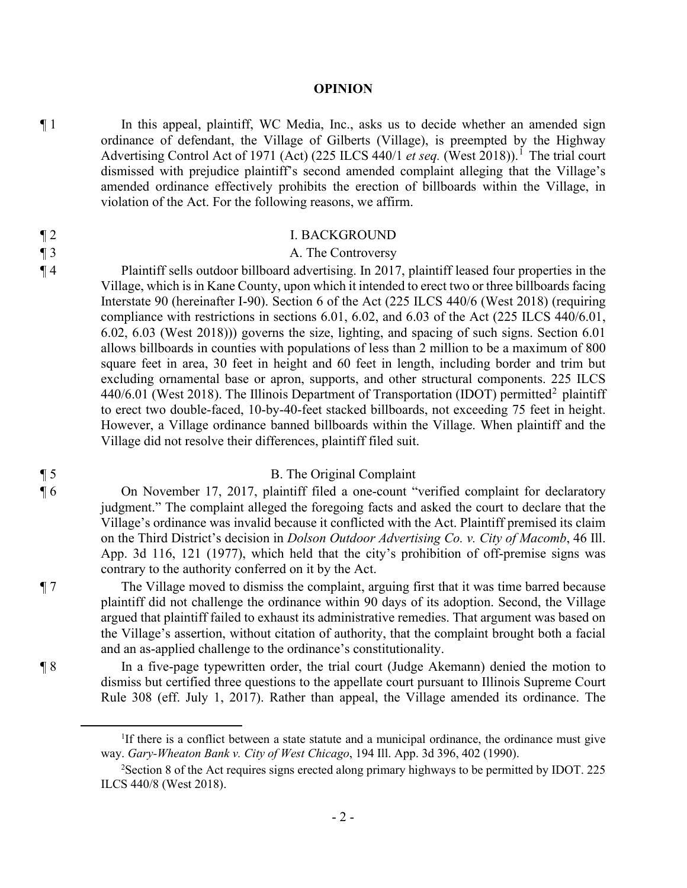#### **OPINION**

¶ 1 In this appeal, plaintiff, WC Media, Inc., asks us to decide whether an amended sign ordinance of defendant, the Village of Gilberts (Village), is preempted by the Highway Advertising Control Act of 1971 (Act) (225 ILCS 440/1 *et seq.* (West 2018)).<sup>1</sup> The trial court dismissed with prejudice plaintiff's second amended complaint alleging that the Village's amended ordinance effectively prohibits the erection of billboards within the Village, in violation of the Act. For the following reasons, we affirm.

#### ¶ 2 I. BACKGROUND

# ¶ 3 A. The Controversy

¶ 4 Plaintiff sells outdoor billboard advertising. In 2017, plaintiff leased four properties in the Village, which is in Kane County, upon which it intended to erect two or three billboards facing Interstate 90 (hereinafter I-90). Section 6 of the Act (225 ILCS 440/6 (West 2018) (requiring compliance with restrictions in sections 6.01, 6.02, and 6.03 of the Act (225 ILCS 440/6.01, 6.02, 6.03 (West 2018))) governs the size, lighting, and spacing of such signs. Section 6.01 allows billboards in counties with populations of less than 2 million to be a maximum of 800 square feet in area, 30 feet in height and 60 feet in length, including border and trim but excluding ornamental base or apron, supports, and other structural components. 225 ILCS 440/6.01 (West 2018). The Illinois Department of Transportation (IDOT) permitted<sup>2</sup> plaintiff to erect two double-faced, 10-by-40-feet stacked billboards, not exceeding 75 feet in height. However, a Village ordinance banned billboards within the Village. When plaintiff and the Village did not resolve their differences, plaintiff filed suit.

### ¶ 5 B. The Original Complaint

¶ 6 On November 17, 2017, plaintiff filed a one-count "verified complaint for declaratory judgment." The complaint alleged the foregoing facts and asked the court to declare that the Village's ordinance was invalid because it conflicted with the Act. Plaintiff premised its claim on the Third District's decision in *Dolson Outdoor Advertising Co. v. City of Macomb*, 46 Ill. App. 3d 116, 121 (1977), which held that the city's prohibition of off-premise signs was contrary to the authority conferred on it by the Act.

¶ 7 The Village moved to dismiss the complaint, arguing first that it was time barred because plaintiff did not challenge the ordinance within 90 days of its adoption. Second, the Village argued that plaintiff failed to exhaust its administrative remedies. That argument was based on the Village's assertion, without citation of authority, that the complaint brought both a facial and an as-applied challenge to the ordinance's constitutionality.

¶ 8 In a five-page typewritten order, the trial court (Judge Akemann) denied the motion to dismiss but certified three questions to the appellate court pursuant to Illinois Supreme Court Rule 308 (eff. July 1, 2017). Rather than appeal, the Village amended its ordinance. The

<sup>&</sup>lt;sup>1</sup>If there is a conflict between a state statute and a municipal ordinance, the ordinance must give way. *Gary-Wheaton Bank v. City of West Chicago*, 194 Ill. App. 3d 396, 402 (1990).

 $2$ Section 8 of the Act requires signs erected along primary highways to be permitted by IDOT. 225 ILCS 440/8 (West 2018).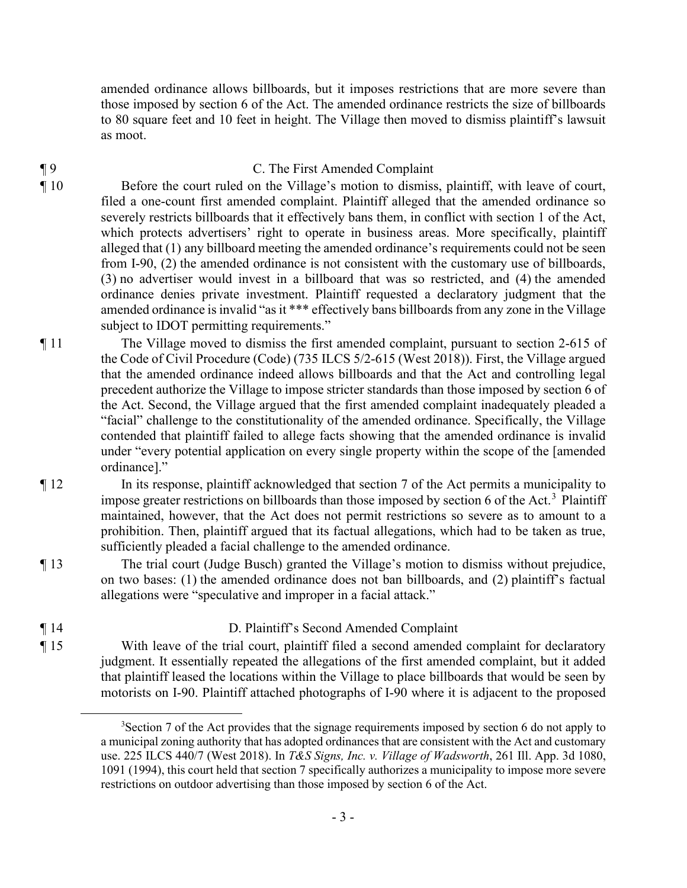amended ordinance allows billboards, but it imposes restrictions that are more severe than those imposed by section 6 of the Act. The amended ordinance restricts the size of billboards to 80 square feet and 10 feet in height. The Village then moved to dismiss plaintiff's lawsuit as moot.

# ¶ 9 C. The First Amended Complaint

¶ 10 Before the court ruled on the Village's motion to dismiss, plaintiff, with leave of court, filed a one-count first amended complaint. Plaintiff alleged that the amended ordinance so severely restricts billboards that it effectively bans them, in conflict with section 1 of the Act, which protects advertisers' right to operate in business areas. More specifically, plaintiff alleged that (1) any billboard meeting the amended ordinance's requirements could not be seen from I-90, (2) the amended ordinance is not consistent with the customary use of billboards, (3) no advertiser would invest in a billboard that was so restricted, and (4) the amended ordinance denies private investment. Plaintiff requested a declaratory judgment that the amended ordinance is invalid "as it \*\*\* effectively bans billboards from any zone in the Village subject to **IDOT** permitting requirements."

- ¶ 11 The Village moved to dismiss the first amended complaint, pursuant to section 2-615 of the Code of Civil Procedure (Code) (735 ILCS 5/2-615 (West 2018)). First, the Village argued that the amended ordinance indeed allows billboards and that the Act and controlling legal precedent authorize the Village to impose stricter standards than those imposed by section 6 of the Act. Second, the Village argued that the first amended complaint inadequately pleaded a "facial" challenge to the constitutionality of the amended ordinance. Specifically, the Village contended that plaintiff failed to allege facts showing that the amended ordinance is invalid under "every potential application on every single property within the scope of the [amended ordinance]."
- ¶ 12 In its response, plaintiff acknowledged that section 7 of the Act permits a municipality to impose greater restrictions on billboards than those imposed by section 6 of the Act.<sup>3</sup> Plaintiff maintained, however, that the Act does not permit restrictions so severe as to amount to a prohibition. Then, plaintiff argued that its factual allegations, which had to be taken as true, sufficiently pleaded a facial challenge to the amended ordinance.
- ¶ 13 The trial court (Judge Busch) granted the Village's motion to dismiss without prejudice, on two bases: (1) the amended ordinance does not ban billboards, and (2) plaintiff's factual allegations were "speculative and improper in a facial attack."

# ¶ 14 D. Plaintiff's Second Amended Complaint

¶ 15 With leave of the trial court, plaintiff filed a second amended complaint for declaratory judgment. It essentially repeated the allegations of the first amended complaint, but it added that plaintiff leased the locations within the Village to place billboards that would be seen by motorists on I-90. Plaintiff attached photographs of I-90 where it is adjacent to the proposed

<sup>&</sup>lt;sup>3</sup>Section 7 of the Act provides that the signage requirements imposed by section 6 do not apply to a municipal zoning authority that has adopted ordinances that are consistent with the Act and customary use. 225 ILCS 440/7 (West 2018). In *T&S Signs, Inc. v. Village of Wadsworth*, 261 Ill. App. 3d 1080, 1091 (1994), this court held that section 7 specifically authorizes a municipality to impose more severe restrictions on outdoor advertising than those imposed by section 6 of the Act.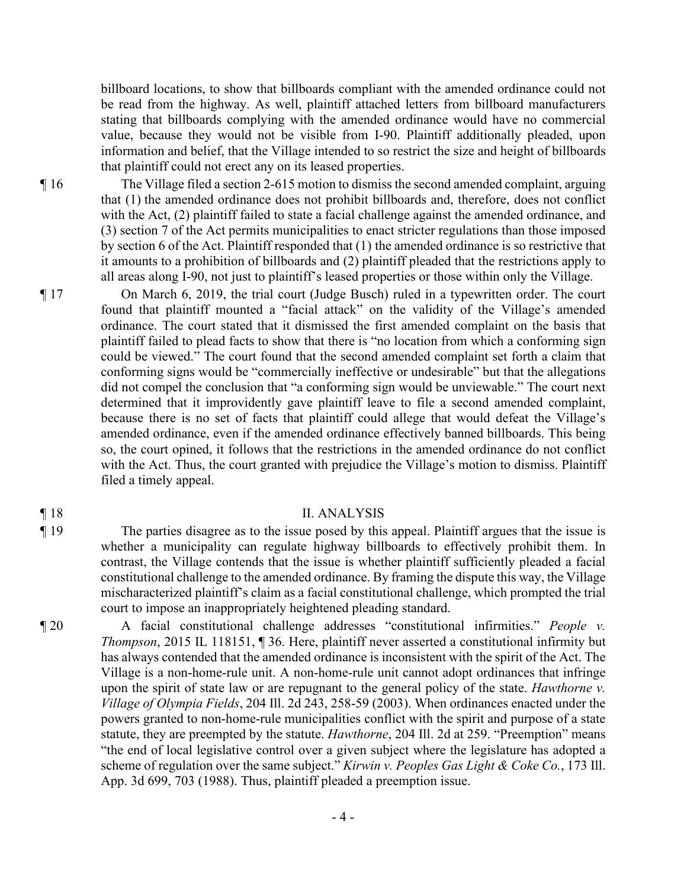billboard locations, to show that billboards compliant with the amended ordinance could not be read from the highway. As well, plaintiff attached letters from billboard manufacturers stating that billboards complying with the amended ordinance would have no commercial value, because they would not be visible from I-90. Plaintiff additionally pleaded, upon information and belief, that the Village intended to so restrict the size and height of billboards that plaintiff could not erect any on its leased properties.

¶ 16 The Village filed a section 2-615 motion to dismiss the second amended complaint, arguing that (1) the amended ordinance does not prohibit billboards and, therefore, does not conflict with the Act, (2) plaintiff failed to state a facial challenge against the amended ordinance, and (3) section 7 of the Act permits municipalities to enact stricter regulations than those imposed by section 6 of the Act. Plaintiff responded that (1) the amended ordinance is so restrictive that it amounts to a prohibition of billboards and (2) plaintiff pleaded that the restrictions apply to all areas along I-90, not just to plaintiff's leased properties or those within only the Village.

¶ 17 On March 6, 2019, the trial court (Judge Busch) ruled in a typewritten order. The court found that plaintiff mounted a "facial attack" on the validity of the Village's amended ordinance. The court stated that it dismissed the first amended complaint on the basis that plaintiff failed to plead facts to show that there is "no location from which a conforming sign could be viewed." The court found that the second amended complaint set forth a claim that conforming signs would be "commercially ineffective or undesirable" but that the allegations did not compel the conclusion that "a conforming sign would be unviewable." The court next determined that it improvidently gave plaintiff leave to file a second amended complaint, because there is no set of facts that plaintiff could allege that would defeat the Village's amended ordinance, even if the amended ordinance effectively banned billboards. This being so, the court opined, it follows that the restrictions in the amended ordinance do not conflict with the Act. Thus, the court granted with prejudice the Village's motion to dismiss. Plaintiff filed a timely appeal.

#### ¶ 18 II. ANALYSIS

¶ 19 The parties disagree as to the issue posed by this appeal. Plaintiff argues that the issue is whether a municipality can regulate highway billboards to effectively prohibit them. In contrast, the Village contends that the issue is whether plaintiff sufficiently pleaded a facial constitutional challenge to the amended ordinance. By framing the dispute this way, the Village mischaracterized plaintiff's claim as a facial constitutional challenge, which prompted the trial court to impose an inappropriately heightened pleading standard.

¶ 20 A facial constitutional challenge addresses "constitutional infirmities." *People v. Thompson*, 2015 IL 118151, ¶ 36. Here, plaintiff never asserted a constitutional infirmity but has always contended that the amended ordinance is inconsistent with the spirit of the Act. The Village is a non-home-rule unit. A non-home-rule unit cannot adopt ordinances that infringe upon the spirit of state law or are repugnant to the general policy of the state. *Hawthorne v. Village of Olympia Fields*, 204 Ill. 2d 243, 258-59 (2003). When ordinances enacted under the powers granted to non-home-rule municipalities conflict with the spirit and purpose of a state statute, they are preempted by the statute. *Hawthorne*, 204 Ill. 2d at 259. "Preemption" means "the end of local legislative control over a given subject where the legislature has adopted a scheme of regulation over the same subject." *Kirwin v. Peoples Gas Light & Coke Co.*, 173 Ill. App. 3d 699, 703 (1988). Thus, plaintiff pleaded a preemption issue.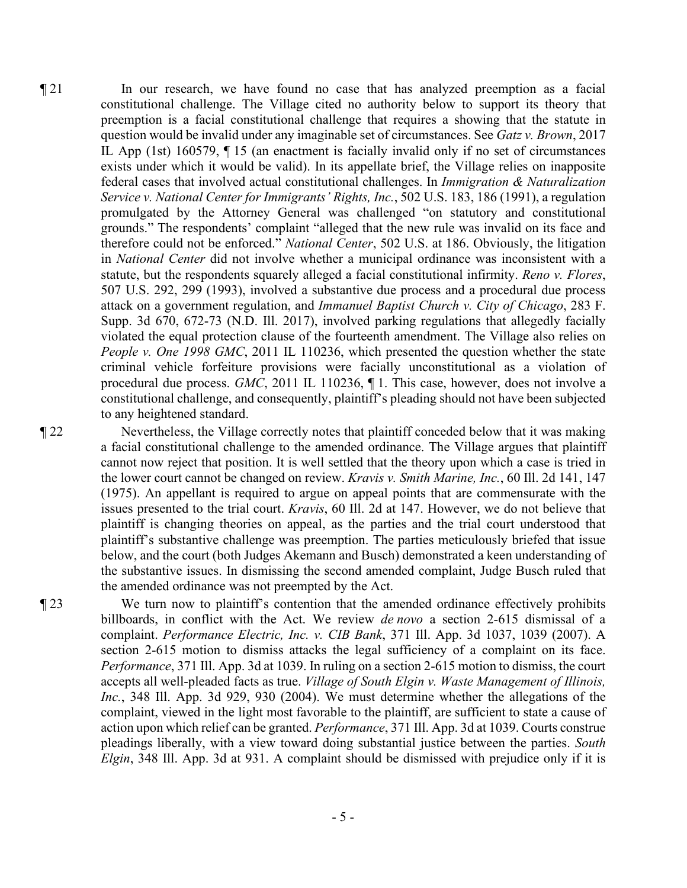¶ 21 In our research, we have found no case that has analyzed preemption as a facial constitutional challenge. The Village cited no authority below to support its theory that preemption is a facial constitutional challenge that requires a showing that the statute in question would be invalid under any imaginable set of circumstances. See *Gatz v. Brown*, 2017 IL App (1st) 160579, ¶ 15 (an enactment is facially invalid only if no set of circumstances exists under which it would be valid). In its appellate brief, the Village relies on inapposite federal cases that involved actual constitutional challenges. In *Immigration & Naturalization Service v. National Center for Immigrants' Rights, Inc.*, 502 U.S. 183, 186 (1991), a regulation promulgated by the Attorney General was challenged "on statutory and constitutional grounds." The respondents' complaint "alleged that the new rule was invalid on its face and therefore could not be enforced." *National Center*, 502 U.S. at 186. Obviously, the litigation in *National Center* did not involve whether a municipal ordinance was inconsistent with a statute, but the respondents squarely alleged a facial constitutional infirmity. *Reno v. Flores*, 507 U.S. 292, 299 (1993), involved a substantive due process and a procedural due process attack on a government regulation, and *Immanuel Baptist Church v. City of Chicago*, 283 F. Supp. 3d 670, 672-73 (N.D. Ill. 2017), involved parking regulations that allegedly facially violated the equal protection clause of the fourteenth amendment. The Village also relies on *People v. One 1998 GMC*, 2011 IL 110236, which presented the question whether the state criminal vehicle forfeiture provisions were facially unconstitutional as a violation of procedural due process. *GMC*, 2011 IL 110236, ¶ 1. This case, however, does not involve a constitutional challenge, and consequently, plaintiff's pleading should not have been subjected to any heightened standard.

¶ 22 Nevertheless, the Village correctly notes that plaintiff conceded below that it was making a facial constitutional challenge to the amended ordinance. The Village argues that plaintiff cannot now reject that position. It is well settled that the theory upon which a case is tried in the lower court cannot be changed on review. *Kravis v. Smith Marine, Inc.*, 60 Ill. 2d 141, 147 (1975). An appellant is required to argue on appeal points that are commensurate with the issues presented to the trial court. *Kravis*, 60 Ill. 2d at 147. However, we do not believe that plaintiff is changing theories on appeal, as the parties and the trial court understood that plaintiff's substantive challenge was preemption. The parties meticulously briefed that issue below, and the court (both Judges Akemann and Busch) demonstrated a keen understanding of the substantive issues. In dismissing the second amended complaint, Judge Busch ruled that the amended ordinance was not preempted by the Act.

¶ 23 We turn now to plaintiff's contention that the amended ordinance effectively prohibits billboards, in conflict with the Act. We review *de novo* a section 2-615 dismissal of a complaint. *Performance Electric, Inc. v. CIB Bank*, 371 Ill. App. 3d 1037, 1039 (2007). A section 2-615 motion to dismiss attacks the legal sufficiency of a complaint on its face. *Performance*, 371 Ill. App. 3d at 1039. In ruling on a section 2-615 motion to dismiss, the court accepts all well-pleaded facts as true. *Village of South Elgin v. Waste Management of Illinois, Inc.*, 348 Ill. App. 3d 929, 930 (2004). We must determine whether the allegations of the complaint, viewed in the light most favorable to the plaintiff, are sufficient to state a cause of action upon which relief can be granted. *Performance*, 371 Ill. App. 3d at 1039. Courts construe pleadings liberally, with a view toward doing substantial justice between the parties. *South Elgin*, 348 Ill. App. 3d at 931. A complaint should be dismissed with prejudice only if it is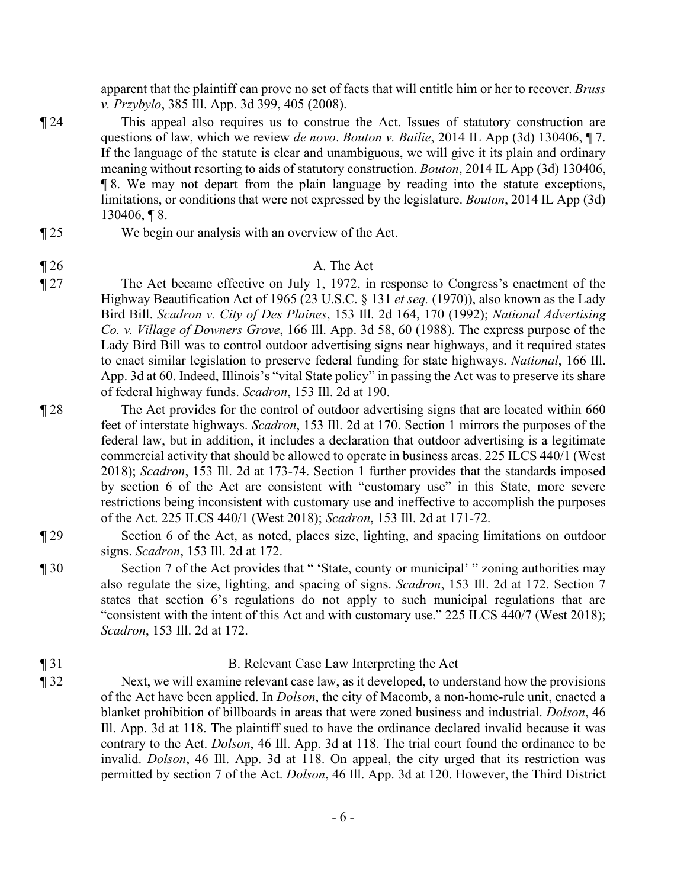apparent that the plaintiff can prove no set of facts that will entitle him or her to recover. *Bruss v. Przybylo*, 385 Ill. App. 3d 399, 405 (2008).

- ¶ 24 This appeal also requires us to construe the Act. Issues of statutory construction are questions of law, which we review *de novo*. *Bouton v. Bailie*, 2014 IL App (3d) 130406, ¶ 7. If the language of the statute is clear and unambiguous, we will give it its plain and ordinary meaning without resorting to aids of statutory construction. *Bouton*, 2014 IL App (3d) 130406, ¶ 8. We may not depart from the plain language by reading into the statute exceptions, limitations, or conditions that were not expressed by the legislature. *Bouton*, 2014 IL App (3d) 130406, ¶ 8.
- ¶ 25 We begin our analysis with an overview of the Act.

# $\parallel$  26 A. The Act

- ¶ 27 The Act became effective on July 1, 1972, in response to Congress's enactment of the Highway Beautification Act of 1965 (23 U.S.C. § 131 *et seq.* (1970)), also known as the Lady Bird Bill. *Scadron v. City of Des Plaines*, 153 Ill. 2d 164, 170 (1992); *National Advertising Co. v. Village of Downers Grove*, 166 Ill. App. 3d 58, 60 (1988). The express purpose of the Lady Bird Bill was to control outdoor advertising signs near highways, and it required states to enact similar legislation to preserve federal funding for state highways. *National*, 166 Ill. App. 3d at 60. Indeed, Illinois's "vital State policy" in passing the Act was to preserve its share of federal highway funds. *Scadron*, 153 Ill. 2d at 190.
- ¶ 28 The Act provides for the control of outdoor advertising signs that are located within 660 feet of interstate highways. *Scadron*, 153 Ill. 2d at 170. Section 1 mirrors the purposes of the federal law, but in addition, it includes a declaration that outdoor advertising is a legitimate commercial activity that should be allowed to operate in business areas. 225 ILCS 440/1 (West 2018); *Scadron*, 153 Ill. 2d at 173-74. Section 1 further provides that the standards imposed by section 6 of the Act are consistent with "customary use" in this State, more severe restrictions being inconsistent with customary use and ineffective to accomplish the purposes of the Act. 225 ILCS 440/1 (West 2018); *Scadron*, 153 Ill. 2d at 171-72.
- ¶ 29 Section 6 of the Act, as noted, places size, lighting, and spacing limitations on outdoor signs. *Scadron*, 153 Ill. 2d at 172.
- ¶ 30 Section 7 of the Act provides that " 'State, county or municipal' " zoning authorities may also regulate the size, lighting, and spacing of signs. *Scadron*, 153 Ill. 2d at 172. Section 7 states that section 6's regulations do not apply to such municipal regulations that are "consistent with the intent of this Act and with customary use." 225 ILCS 440/7 (West 2018); *Scadron*, 153 Ill. 2d at 172.

#### ¶ 31 B. Relevant Case Law Interpreting the Act

¶ 32 Next, we will examine relevant case law, as it developed, to understand how the provisions of the Act have been applied. In *Dolson*, the city of Macomb, a non-home-rule unit, enacted a blanket prohibition of billboards in areas that were zoned business and industrial. *Dolson*, 46 Ill. App. 3d at 118. The plaintiff sued to have the ordinance declared invalid because it was contrary to the Act. *Dolson*, 46 Ill. App. 3d at 118. The trial court found the ordinance to be invalid. *Dolson*, 46 Ill. App. 3d at 118. On appeal, the city urged that its restriction was permitted by section 7 of the Act. *Dolson*, 46 Ill. App. 3d at 120. However, the Third District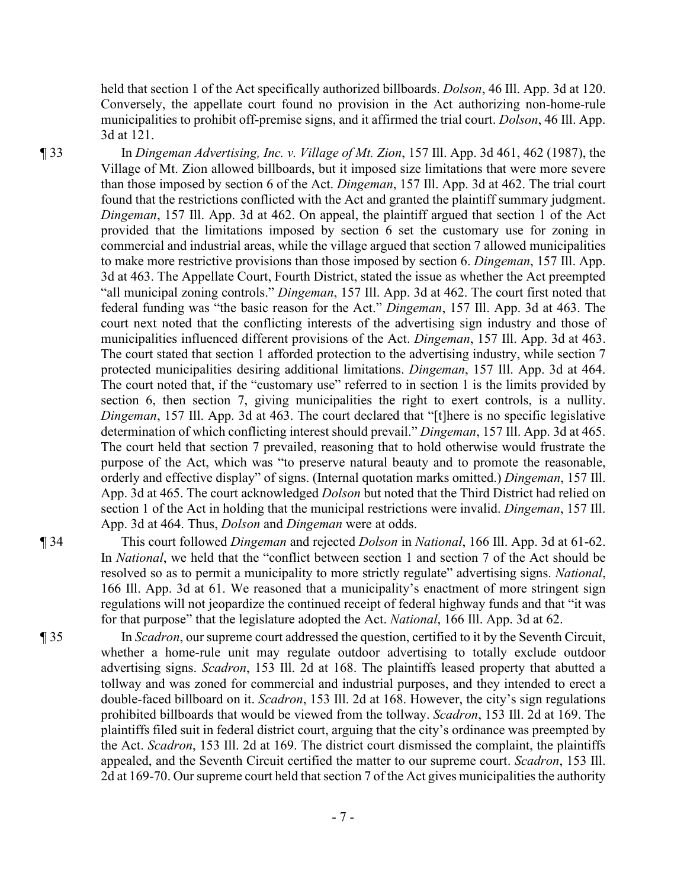held that section 1 of the Act specifically authorized billboards. *Dolson*, 46 Ill. App. 3d at 120. Conversely, the appellate court found no provision in the Act authorizing non-home-rule municipalities to prohibit off-premise signs, and it affirmed the trial court. *Dolson*, 46 Ill. App. 3d at 121.

¶ 33 In *Dingeman Advertising, Inc. v. Village of Mt. Zion*, 157 Ill. App. 3d 461, 462 (1987), the Village of Mt. Zion allowed billboards, but it imposed size limitations that were more severe than those imposed by section 6 of the Act. *Dingeman*, 157 Ill. App. 3d at 462. The trial court found that the restrictions conflicted with the Act and granted the plaintiff summary judgment. *Dingeman*, 157 Ill. App. 3d at 462. On appeal, the plaintiff argued that section 1 of the Act provided that the limitations imposed by section 6 set the customary use for zoning in commercial and industrial areas, while the village argued that section 7 allowed municipalities to make more restrictive provisions than those imposed by section 6. *Dingeman*, 157 Ill. App. 3d at 463. The Appellate Court, Fourth District, stated the issue as whether the Act preempted "all municipal zoning controls." *Dingeman*, 157 Ill. App. 3d at 462. The court first noted that federal funding was "the basic reason for the Act." *Dingeman*, 157 Ill. App. 3d at 463. The court next noted that the conflicting interests of the advertising sign industry and those of municipalities influenced different provisions of the Act. *Dingeman*, 157 Ill. App. 3d at 463. The court stated that section 1 afforded protection to the advertising industry, while section 7 protected municipalities desiring additional limitations. *Dingeman*, 157 Ill. App. 3d at 464. The court noted that, if the "customary use" referred to in section 1 is the limits provided by section 6, then section 7, giving municipalities the right to exert controls, is a nullity. *Dingeman*, 157 Ill. App. 3d at 463. The court declared that "[t]here is no specific legislative determination of which conflicting interest should prevail." *Dingeman*, 157 Ill. App. 3d at 465. The court held that section 7 prevailed, reasoning that to hold otherwise would frustrate the purpose of the Act, which was "to preserve natural beauty and to promote the reasonable, orderly and effective display" of signs. (Internal quotation marks omitted.) *Dingeman*, 157 Ill. App. 3d at 465. The court acknowledged *Dolson* but noted that the Third District had relied on section 1 of the Act in holding that the municipal restrictions were invalid. *Dingeman*, 157 Ill. App. 3d at 464. Thus, *Dolson* and *Dingeman* were at odds.

¶ 34 This court followed *Dingeman* and rejected *Dolson* in *National*, 166 Ill. App. 3d at 61-62. In *National*, we held that the "conflict between section 1 and section 7 of the Act should be resolved so as to permit a municipality to more strictly regulate" advertising signs. *National*, 166 Ill. App. 3d at 61. We reasoned that a municipality's enactment of more stringent sign regulations will not jeopardize the continued receipt of federal highway funds and that "it was for that purpose" that the legislature adopted the Act. *National*, 166 Ill. App. 3d at 62.

¶ 35 In *Scadron*, our supreme court addressed the question, certified to it by the Seventh Circuit, whether a home-rule unit may regulate outdoor advertising to totally exclude outdoor advertising signs. *Scadron*, 153 Ill. 2d at 168. The plaintiffs leased property that abutted a tollway and was zoned for commercial and industrial purposes, and they intended to erect a double-faced billboard on it. *Scadron*, 153 Ill. 2d at 168. However, the city's sign regulations prohibited billboards that would be viewed from the tollway. *Scadron*, 153 Ill. 2d at 169. The plaintiffs filed suit in federal district court, arguing that the city's ordinance was preempted by the Act. *Scadron*, 153 Ill. 2d at 169. The district court dismissed the complaint, the plaintiffs appealed, and the Seventh Circuit certified the matter to our supreme court. *Scadron*, 153 Ill. 2d at 169-70. Our supreme court held that section 7 of the Act gives municipalities the authority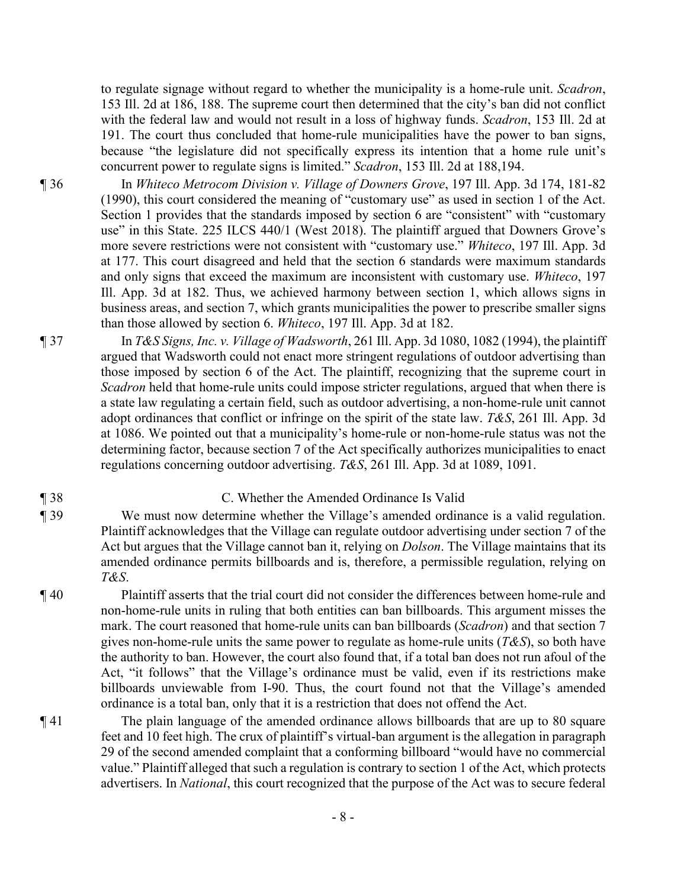to regulate signage without regard to whether the municipality is a home-rule unit. *Scadron*, 153 Ill. 2d at 186, 188. The supreme court then determined that the city's ban did not conflict with the federal law and would not result in a loss of highway funds. *Scadron*, 153 Ill. 2d at 191. The court thus concluded that home-rule municipalities have the power to ban signs, because "the legislature did not specifically express its intention that a home rule unit's concurrent power to regulate signs is limited." *Scadron*, 153 Ill. 2d at 188,194.

¶ 36 In *Whiteco Metrocom Division v. Village of Downers Grove*, 197 Ill. App. 3d 174, 181-82 (1990), this court considered the meaning of "customary use" as used in section 1 of the Act. Section 1 provides that the standards imposed by section 6 are "consistent" with "customary use" in this State. 225 ILCS 440/1 (West 2018). The plaintiff argued that Downers Grove's more severe restrictions were not consistent with "customary use." *Whiteco*, 197 Ill. App. 3d at 177. This court disagreed and held that the section 6 standards were maximum standards and only signs that exceed the maximum are inconsistent with customary use. *Whiteco*, 197 Ill. App. 3d at 182. Thus, we achieved harmony between section 1, which allows signs in business areas, and section 7, which grants municipalities the power to prescribe smaller signs than those allowed by section 6. *Whiteco*, 197 Ill. App. 3d at 182.

¶ 37 In *T&S Signs, Inc. v. Village of Wadsworth*, 261 Ill. App. 3d 1080, 1082 (1994), the plaintiff argued that Wadsworth could not enact more stringent regulations of outdoor advertising than those imposed by section 6 of the Act. The plaintiff, recognizing that the supreme court in *Scadron* held that home-rule units could impose stricter regulations, argued that when there is a state law regulating a certain field, such as outdoor advertising, a non-home-rule unit cannot adopt ordinances that conflict or infringe on the spirit of the state law. *T&S*, 261 Ill. App. 3d at 1086. We pointed out that a municipality's home-rule or non-home-rule status was not the determining factor, because section 7 of the Act specifically authorizes municipalities to enact regulations concerning outdoor advertising. *T&S*, 261 Ill. App. 3d at 1089, 1091.

#### ¶ 38 C. Whether the Amended Ordinance Is Valid

¶ 39 We must now determine whether the Village's amended ordinance is a valid regulation. Plaintiff acknowledges that the Village can regulate outdoor advertising under section 7 of the Act but argues that the Village cannot ban it, relying on *Dolson*. The Village maintains that its amended ordinance permits billboards and is, therefore, a permissible regulation, relying on *T&S*.

¶ 40 Plaintiff asserts that the trial court did not consider the differences between home-rule and non-home-rule units in ruling that both entities can ban billboards. This argument misses the mark. The court reasoned that home-rule units can ban billboards (*Scadron*) and that section 7 gives non-home-rule units the same power to regulate as home-rule units (*T&S*), so both have the authority to ban. However, the court also found that, if a total ban does not run afoul of the Act, "it follows" that the Village's ordinance must be valid, even if its restrictions make billboards unviewable from I-90. Thus, the court found not that the Village's amended ordinance is a total ban, only that it is a restriction that does not offend the Act.

¶ 41 The plain language of the amended ordinance allows billboards that are up to 80 square feet and 10 feet high. The crux of plaintiff's virtual-ban argument is the allegation in paragraph 29 of the second amended complaint that a conforming billboard "would have no commercial value." Plaintiff alleged that such a regulation is contrary to section 1 of the Act, which protects advertisers. In *National*, this court recognized that the purpose of the Act was to secure federal